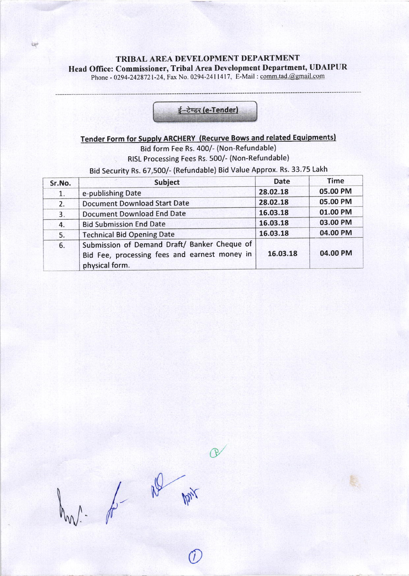TRIBAL AREA DEVELOPMENT DEPARTMENT Head Office: Commissioner, Tribal Area Development Department, UDAIPUR

Phone - 0294-2428721-24, Fax No. 0294-2411417, E-Mail : comm.tad.@gmail.com

ter

# ई-टेण्डर (e-Tender)

# Tender Form for Supplv ARCHERY (Recurve Bows and related Equipmentsl

Bid form Fee Rs. 400/- (Non-Refundable) RISL Processing Fees Rs. 500/- (Non-Refundable)

Bid security Rs. 67,500/- (Refundable) Bid Value Approx. Rs. 33.75 Lakh

| Sr.No. | <b>Subject</b>                                                                                                  | <b>Date</b> | <b>Time</b> |
|--------|-----------------------------------------------------------------------------------------------------------------|-------------|-------------|
| 1.     | e-publishing Date                                                                                               | 28.02.18    | 05.00 PM    |
| 2.     | <b>Document Download Start Date</b>                                                                             | 28.02.18    | 05.00 PM    |
| 3.     | <b>Document Download End Date</b>                                                                               | 16.03.18    | 01.00 PM    |
| 4.     | <b>Bid Submission End Date</b>                                                                                  | 16.03.18    | 03.00 PM    |
| 5.     | <b>Technical Bid Opening Date</b>                                                                               | 16.03.18    | 04.00 PM    |
| 6.     | Submission of Demand Draft/ Banker Cheque of<br>Bid Fee, processing fees and earnest money in<br>physical form. | 16.03.18    | 04.00 PM    |

 $1 - \frac{1}{2}$   $\frac{1}{2}$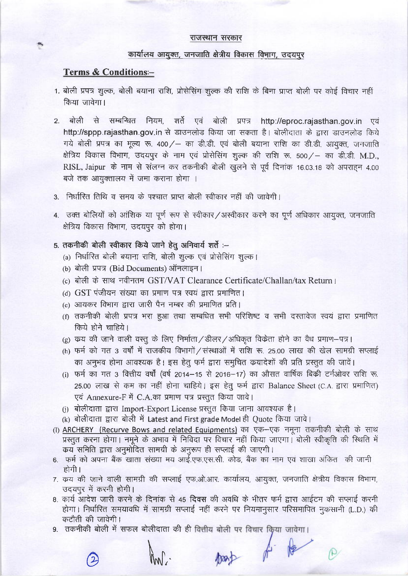#### राजस्थान सरकार

#### कार्यालय आयुक्त, जनजाति क्षेत्रीय विकास विभाग, उदयपुर

#### **Terms & Conditions--**

- 1. बोली प्रपत्र शुल्क, बोली बयाना राशि, प्रोसेसिंग शुल्क की राशि के बिना प्राप्त बोली पर कोई विचार नहीं किया जावेगा।
- बोली से सम्बन्धित नियम, शर्ते एवं बोली प्रपत्र http://eproc.rajasthan.gov.in एवं  $\mathcal{P}$ http://sppp.rajasthan.gov.in से डाउनलोड किया जा सकता है। बोलीदाता के द्वारा डाउनलोड किये गये बोली प्रपत्र का मृत्य रू. 400/ - का डी.डी. एवं बोली बयाना राशि का डी.डी. आयुक्त, जनजाति क्षेत्रिय विकास विभाग, उदयपुर के नाम एवं प्रोसेसिंग शुल्क की राशि रू. 500 / – का डी.डी. M.D., RISL, Jaipur के नाम से संलग्न कर तकनीकी बोली खुलने से पूर्व दिनांक 16.03.18 को अपराहन 4.00 बजे तक आयक्तालय में जमा कराना होगा ।
- 3. निर्धारित तिथि व समय के पश्चात प्राप्त बोली स्वीकार नहीं की जावेगी।
- 4. उक्त बोलियों को आंशिक या पूर्ण रूप से स्वीकार/अस्वीकार करने का पूर्ण अधिकार आयुक्त, जनजाति क्षेत्रिय विकास विभाग, उदयपुर को होगा।
- 5. तकनीकी बोली स्वीकार किये जाने हेतु अनिवार्य शर्ते :--
	- (a) निर्धारित बोली बयाना राशि, बोली शुल्क एवं प्रोसेसिंग शुल्क।
	- (b) बोली प्रपत्र (Bid Documents) ऑनलाइन।
	- (c) बोली के साथ नवीनतम GST/VAT Clearance Certificate/Challan/tax Return ।
	- (d) GST पंजीयन संख्या का प्रमाण पत्र स्वयं द्वारा प्रमाणित।
	- (e) आयकर विभाग द्वारा जारी पैन नम्बर की प्रमाणित प्रति।
	- (f) तकनीकी बोली प्रपत्र भरा हुआ तथा सम्बधित सभी परिशिष्ट व सभी दस्तावेज स्वयं द्वारा प्रमाणित किये होने चाहिये।
	- (g) क्रय की जाने वाली वस्तू के लिए निर्माता / डीलर / अधिकृत विक्रेता होने का वैध प्रमाण-पत्र।
	- (h) फर्म को गत 3 वर्षों में राजकीय विभागों / संस्थाओं में राशि रू. 25.00 लाख की खेल सामग्री सप्लाई का अनुभव होना आवश्यक है। इस हेतू फर्म द्वारा समुचित क्रयादेशों की प्रति प्रस्तुत की जावें।
	- (i) फर्म का गत 3 वित्तीय वर्षों (वर्ष 2014–15 से 2016–17) का औसत वार्षिक बिक्री टर्नओवर राशि रू. 25.00 लाख से कम का नहीं होना चाहिये। इस हेतू फर्म द्वारा Balance Sheet (C.A. द्वारा प्रमाणित) एवं Annexure-F में C.A.का प्रमाण पत्र प्रस्तुत किया जावे।
	- (i) बोलीदाता द्वारा Import-Export License प्रस्तुत किया जाना आवश्यक है।
	- (k) बोलीदाता द्वारा बोली में Latest and First grade Model ही Quote किया जावे।
- (1) ARCHERY (Recurve Bows and related Equipments) का एक-एक नमूना तकनीकी बोली के साथ प्रस्तुत करना होगा। नमूने के अभाव में निविदा पर विचार नहीं किया जाएगा। बोली स्वीकृति की स्थिति में कय समिति द्वारा अनुमोदित सामग्री के अनुरूप ही सप्लाई की जाएगी।
- 6. फर्म को अपना बैंक खाता संख्या मय आई.एफ.एस.सी. कोड, बैंक का नाम एवं शाखा अंकित की जानी होगी ।
- 7. क्रय की जाने वाली सामग्री की सप्लाई एफ.ओ.आर. कार्यालय, आयुक्त, जनजाति क्षेत्रीय विकास विभाग, उदयपुर में करनी होगी।
- 8. कार्य आदेश जारी करने के दिनांक से 45 दिवस की अवधि के भीतर फर्म द्वारा आईटम की सप्लाई करनी होगा। निर्धारित समयावधि में सामग्री सप्लाई नहीं करने पर नियमानूसार परिसमापित नुकसानी (L.D.) की कटौती की जावेगी।

part of Re

9. तकनीकी बोली में सफल बोलीदाता की ही वित्तीय बोली पर विचार किया जावेगा।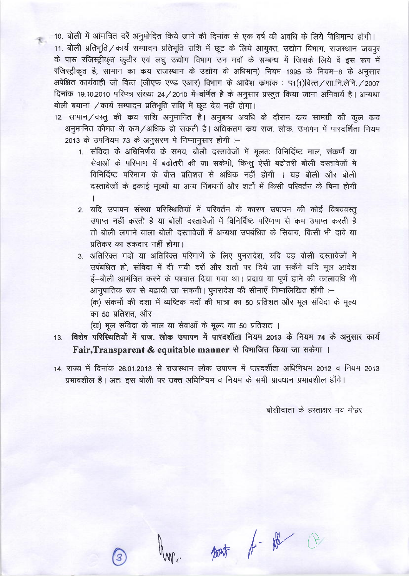।<br>इस 10. बोली में आंमत्रित दरें अनुमोदित किये जाने की दिनांक से एक वर्ष की अवधि के लिये विधिमान्य होगी। 11. बोली प्रतिभूति / कार्य सम्पादन प्रतिभूति राशि में छूट के लिये आयुक्त, उद्योग विभाग, राजस्थान जयपुर के पास रजिस्ट्रीकृत कटीर एवं लघु उद्योग विभाग उन मदों के सम्बन्ध में जिसके लिये वें इस रूप में रजिस्ट्रीकृत है, सामान का कय राजस्थान के उद्योग के अधिमान) नियम 1995 के नियम-8 के अनुसार अपेक्षित कार्यवाही जो वित्त (जीएफ एण्ड एआर) विभाग के आदेश कमांक: प1(1)वित्त/सा.नि.लेनि./2007 दिनांक 19.10.2010 परिपत्र संख्या 24/2010 में वर्णित है के अनुसार प्रस्तुत किया जाना अनिवार्य है। अन्यथा बोली बयाना / कार्य सम्पादन प्रतिभूति राशि में छूट देय नहीं होगा।

12. सामान/वस्तु की कय राशि अनुमानित है। अनुबन्ध अवधि के दौरान कय सामग्री की कुल कय अनुमानित कीमत से कम/अधिक हो सकती है। अधिकतम कय राज, लोक, उपापन में पारदर्शिता नियम 2013 के उपनियम 73 के अनुसरण मे निम्नानुसार होगी :-

- 1. संविदा के अधिनिर्णय के समय, बोली दस्तावेजों में मुलतः विनिर्दिष्ट माल, संकर्मो या सेवाओं के परिमाण में बढोतरी की जा सकेगी, किन्तू ऐसी बढोतरी बोली दस्तावेजों मे विनिर्दिष्ट परिमाण के बीस प्रतिशत से अधिक नहीं होगी । यह बोली और बोली दस्तावेजों के इकाई मूल्यों या अन्य निंबधनों और शर्तो में किसी परिवर्तन के बिना होगी
- 2. यदि उपापन संस्था परिस्थितियों में परिवर्तन के कारण उपापन की कोई विषयवस्तु उपाप्त नहीं करती है या बोली दस्तावेजों में विनिर्दिष्ट परिमाण से कम उपाप्त करती है तो बोली लगाने वाला बोली दस्तावेजों में अन्यथा उपबंधित के सिवाय, किसी भी दावे या प्रतिकर का हकदार नहीं होगा।

3. अतिरिक्त मदों या अतिरिक्त परिमाणें के लिए पुनरादेश, यदि यह बोली दस्तावेजों में उपंबधित हो, संविदा में दी गयी दरों और शर्तो पर दिये जा सकेंगे यदि मूल आदेश ई-बोली आमंत्रित करने के पश्चात दिया गया था। प्रदाय या पूर्ण हाने की कालावधि भी आनुपातिक रूप से बढायी जा सकगी | पुनरादेश की सीमाएं निम्नलिखित होंगी :-(क) संकर्मो की दशा में व्यष्टिक मदों की मात्रा का 50 प्रतिशत और मूल संविदा के मूल्य का 50 प्रतिशत, और

(ख) मूल संविदा के माल या सेवाओं के मूल्य का 50 प्रतिशत ।

- विशेष परिस्थितियों में राज. लोक उपापन में पारदर्शीता नियम 2013 के नियम 74 के अनुसार कार्य  $13<sub>1</sub>$ Fair, Transparent & equitable manner से विमाजित किया जा सकेगा ।
- 14. राज्य में दिनांक 26.01.2013 से राजस्थान लोक उपापन में पारदर्शीता अधिनियम 2012 व नियम 2013 प्रभावशील है। अतः इस बोली पर उक्त अधिनियम व नियम के सभी प्रावधान प्रभावशील होंगे।

बोलीदाता के हस्ताक्षर मय मोहर

part of Ne Co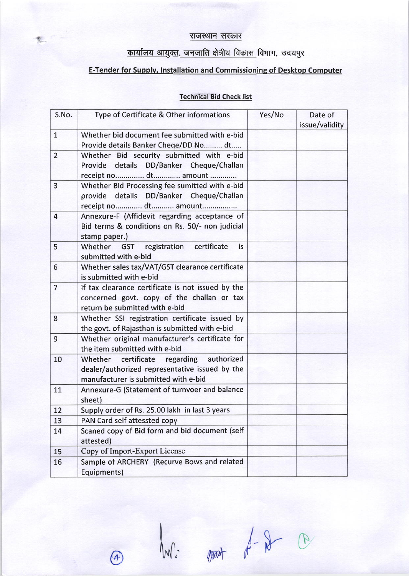### राजस्थान सरकार

图.

# <u>कार्यालय आयुक्त, जनजाति क्षेत्रीय विकास विभाग, उदयपुर</u>

## E-Tender for Supply, Installation and Commissioning of Desktop Computer

## Technical Bid Check list

| S.No.          | Type of Certificate & Other informations                                                                                           | Yes/No | Date of<br>issue/validity |
|----------------|------------------------------------------------------------------------------------------------------------------------------------|--------|---------------------------|
| $\mathbf{1}$   | Whether bid document fee submitted with e-bid<br>Provide details Banker Cheqe/DD No dt                                             |        |                           |
| $\overline{2}$ | Whether Bid security submitted with e-bid<br>Provide details DD/Banker Cheque/Challan<br>receipt no dt amount                      |        |                           |
| 3              | Whether Bid Processing fee sumitted with e-bid<br>provide details DD/Banker Cheque/Challan<br>receipt no dt amount                 |        |                           |
| $\overline{4}$ | Annexure-F (Affidevit regarding acceptance of<br>Bid terms & conditions on Rs. 50/- non judicial<br>stamp paper.)                  |        |                           |
| 5              | Whether GST<br>registration certificate<br>is.<br>submitted with e-bid                                                             |        |                           |
| 6              | Whether sales tax/VAT/GST clearance certificate<br>is submitted with e-bid                                                         |        |                           |
| $\overline{7}$ | If tax clearance certificate is not issued by the<br>concerned govt. copy of the challan or tax<br>return be submitted with e-bid  |        |                           |
| 8              | Whether SSI registration certificate issued by<br>the govt. of Rajasthan is submitted with e-bid                                   |        |                           |
| 9              | Whether original manufacturer's certificate for<br>the item submitted with e-bid                                                   |        |                           |
| 10             | Whether certificate regarding authorized<br>dealer/authorized representative issued by the<br>manufacturer is submitted with e-bid |        |                           |
| 11             | Annexure-G (Statement of turnvoer and balance<br>sheet)                                                                            |        |                           |
| 12             | Supply order of Rs. 25.00 lakh in last 3 years                                                                                     |        |                           |
| 13             | PAN Card self attessted copy                                                                                                       |        |                           |
| 14             | Scaned copy of Bid form and bid document (self<br>attested)                                                                        |        |                           |
| 15             | Copy of Import-Export License                                                                                                      |        |                           |
| 16             | Sample of ARCHERY (Recurve Bows and related<br>Equipments)                                                                         |        |                           |

 $\begin{picture}(20,10) \put(0,0){\vector(1,0){100}} \put(15,0){\vector(1,0){100}} \put(15,0){\vector(1,0){100}} \put(15,0){\vector(1,0){100}} \put(15,0){\vector(1,0){100}} \put(15,0){\vector(1,0){100}} \put(15,0){\vector(1,0){100}} \put(15,0){\vector(1,0){100}} \put(15,0){\vector(1,0){100}} \put(15,0){\vector(1,0){100}} \put(15,0){\vector(1,0){100}} \$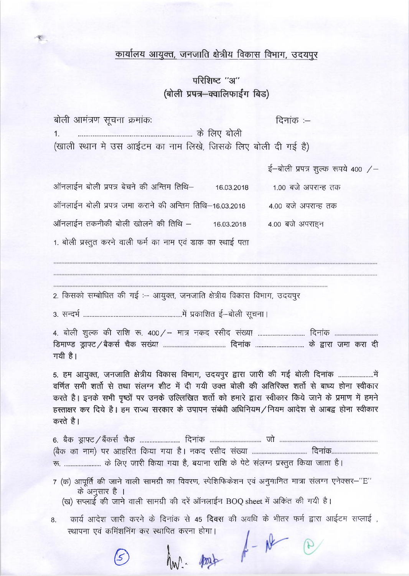## कार्यालय आयुक्त, जनजाति क्षेत्रीय विकास विभाग, उदयपुर

# परिशिष्ट "अ" (बोली प्रपत्र-क्वालिफाईंग बिड)

| बोली आमंत्रण सूचना क्रमांकः                                  | दिनांक $-$                    |
|--------------------------------------------------------------|-------------------------------|
|                                                              | के लिए बोली                   |
| (खाली स्थान मे उस आईटम का नाम लिखे, जिसके लिए बोली दी गई है) |                               |
|                                                              | ई—बोली प्रपत्र शल्क रूपये 400 |

|  | ऑनलाईन बोली प्रपत्र बेचने की अन्तिम तिथि– |                                                             | 16.03.2018 |                 | 1.00 बजे अपरान्ह तक |
|--|-------------------------------------------|-------------------------------------------------------------|------------|-----------------|---------------------|
|  |                                           | ऑनलाईन बोली प्रपत्र जमा कराने की अन्तिम तिथि–16.03.2018     |            |                 | 4.00 बजे अपरान्ह तक |
|  | ऑनलाईन तकनीकी बोली खोलने की तिथि –        |                                                             | 16.03.2018 | 4.00 बजे अपराहन |                     |
|  |                                           | 1. बोली प्रस्तुत करने वाली फर्म का नाम एवं डाक का स्थाई पता |            |                 |                     |

2. किसको सम्बोधित की गई :-- आयुक्त, जनजाति क्षेत्रीय विकास विभाग, उदयपुर

गयी है।

5. हम आयुक्त, जनजाति क्षेत्रीय विकास विभाग, उदयपुर द्वारा जारी की गई बोली दिनांक ............................. वर्णित सभी शर्तो से तथा संलग्न शीट में दी गयी उक्त बोली की अतिरिक्त शर्तो से बाध्य होना स्वीकार करते है। इनके सभी पृष्ठों पर उनके उल्लिखित शर्तो को हमारे द्वारा स्वीकार किये जाने के प्रमाण में हमने हस्ताक्षर कर दिये है। हम राज्य सरकार के उपापन संबंधी अधिनियम/नियम आदेश से आबद्व होना स्वीकार करते है।

रू. .......................... के लिए जारी किया गया है, बयाना राशि के पेटे संलग्न प्रस्तुत किया जाता है।

- 7 (क) आपूर्ति की जाने वाली सामग्री का विवरण, स्पेशिफिकेशन एवं अनुमानित मात्रा संलग्न एनेक्सर-"E" के अनुसार है ।
	- (ख) सप्लाई की जाने वाली सामग्री की दरें ऑनलाईन BOQ sheet में अकिंत की गयी है।
- 8. कार्य आदेश जारी करने के दिनांक से 45 दिवस की अवधि के भीतर फर्म द्वारा आईटम सप्लाई, स्थापना एवं कमिंशनिंग कर स्थापित करना होगा।  $h_{\text{w}}$  about  $h - \mu$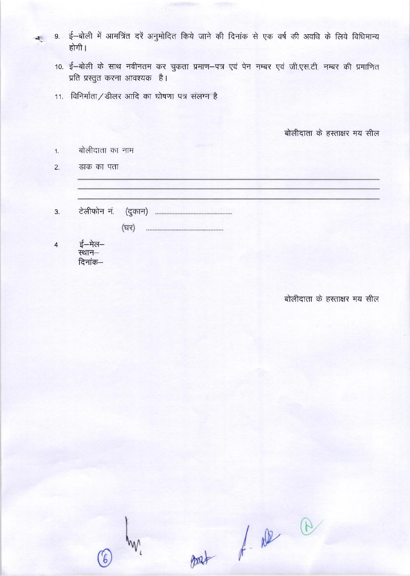- 9. ई-बोली में आमत्रिंत दरें अनुमोदित किये जाने की दिनांक से एक वर्ष की अवधि के लिये विधिमान्य होगी।
	- 10. ई-बोली के साथ नवीनतम कर चुकता प्रमाण-पत्र एवं पेन नम्बर एवं जी.एस.टी. नम्बर की प्रमाणित प्रति प्रस्तुत करना आवश्यक है।
	- 11. विनिर्माता / डीलर आदि का घोषणा पत्र संलग्न है

बोलीदाता के हस्ताक्षर मय सील

| 1. | बोलीदाता का नाम |  |
|----|-----------------|--|
|    |                 |  |

डाक का पता  $2.$ 

 $\mathcal{L}$ 

3.

| (घर) |  |
|------|--|

ई-मेल- $\overline{\mathbf{4}}$ .<br>स्थान– दिनांक—

बोलीदाता के हस्ताक्षर मय सील

post of all a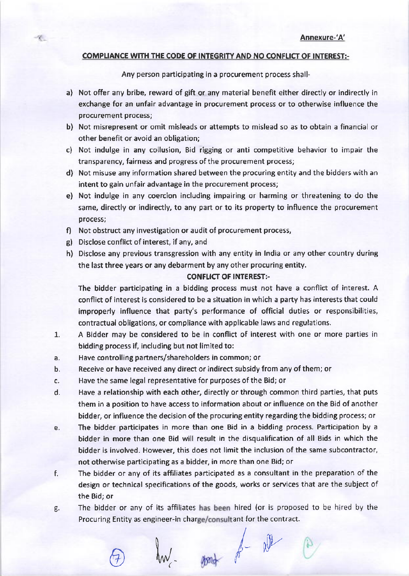#### COMPLIANCE WITH THE CODE OF INTEGRITY AND NO CONFLICT OF INTEREST:-

Any person participating in a procurement process shall-

- a) Not offer any bribe, reward of gift or any material benefit either directly or indirectly in exchange for an unfair advantage in procurement process or to otherwise influence the procurement process;
- b) Not misrepresent or omit misleads or attempts to mislead so as to obtain a financial or other benefit or avoid an obligation;
- c) Not indulge in any collusion, Bid rigging or anti competitive behavior to impair the transparency, fairness and progress of the procurement process;
- d) Not misuse any information shared between the procuring entity and the bidders with an intent to gain unfair advantage in the procurement process;
- e) Not indulge in any coercion including impairing or harming or threatening to do the same, directly or indirectly, to any part or to its property to influence the procurement process;
- f) Not obstruct any investigation or audit of procurement process,
- g) Disclose conflict of interest, if any, and

 $\mathcal{R}_{-}$ 

h) Disclose any previous transgression with any entity in lndia or any other country during the last three years or any debarment by any other procuring entity.

#### CONFLICT OF INTEREST:-

The bidder participating in a bidding process must not have a conflict of interest. A conflict of interest is considered to be a situation in which a party has interests that could improperly influence that party's performance of official duties or responsibilities, contractual obligations, or compliance with applicable laws and regulations.

- 1. <sup>A</sup>Bidder may be considered to be in conflict of interest with one or more parties in bidding process if, including but not limited to:
- a. Have controlling partners/shareholders in common; or
- b. Receive or have received any direct or indirect subsidy from any of them; or
- c. Have the same legal representative for purposes of the Bid; or
- d. Have a relationship with each other, directly or through common third parties, that puts them in a position to have access to information about or influence on the Bid of another bidder, or influence the decision of the procuring entity regarding the bidding process; or
- e. The bidder participates in more than one Bid in a bidding process. Participation by <sup>a</sup> bidder in more than one Bid will result in the disqualification of all Bids in which the bidder is involved. However, this does not limit the inclusion of the same subcontractor, not otherwise participating as a bidder, in more than one Bid; or
- f. The bidder or any of its affiliates participated as a consultant in the preparation ofthe design or technical specifications of the goods, works or services that are the subject of the Bid; or
- g. The bidder or any of its affiliates has been hired (or is proposed to be hired by the Procuring Entity as engineer-in charge/consultant for the contract.

 $\ell$  ont  $\ell$  ry